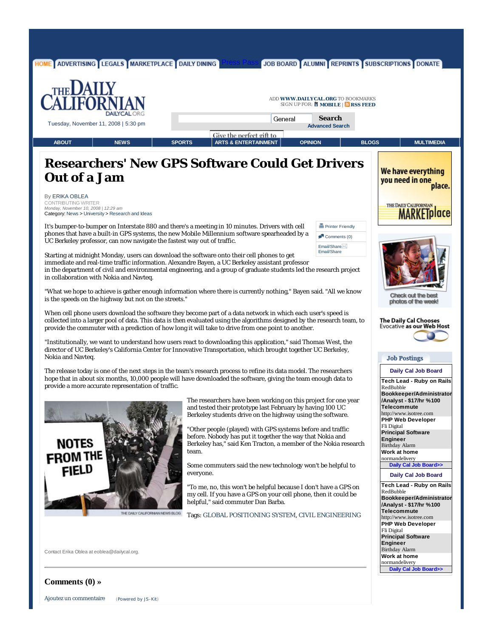

**Comments (0) »**

Ajoutez un commentaire (Powered by JS-Kit)